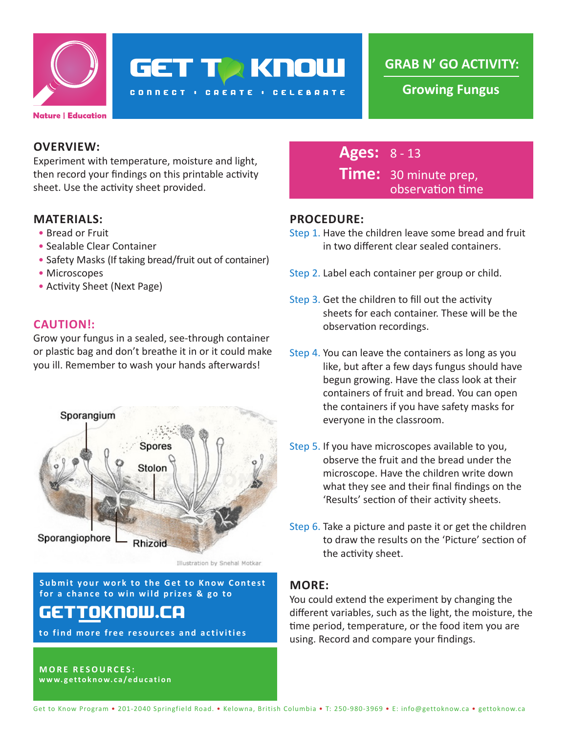

**GET TA KNOW** 

**CONNECT : CREATE : CELEBRATE** 

**GRAB N' GO ACTIVITY:**

**Growing Fungus**

### **OVERVIEW:**

Experiment with temperature, moisture and light, then record your findings on this printable activity sheet. Use the activity sheet provided.

### **MATERIALS:**

- Bread or Fruit
- Sealable Clear Container
- Safety Masks (If taking bread/fruit out of container)
- Microscopes
- Activity Sheet (Next Page)

### **CAUTION!:**

Grow your fungus in a sealed, see-through container or plastic bag and don't breathe it in or it could make you ill. Remember to wash your hands afterwards!



Illustration by Snehal Motkar

**Submit your work to the Get to Know Contest for a chance to win wild prizes & go to**

# gettoknow.ca

**to find more free resources and activities**

**MORE RESOURCES: www.gettoknow.ca/education**

## **Ages:** 8 - 13 **Time:** 30 minute prep, observation time

### **PROCEDURE:**

- Step 1. Have the children leave some bread and fruit in two different clear sealed containers.
- Step 2. Label each container per group or child.
- Step 3. Get the children to fill out the activity sheets for each container. These will be the observation recordings.
- Step 4. You can leave the containers as long as you like, but after a few days fungus should have begun growing. Have the class look at their containers of fruit and bread. You can open the containers if you have safety masks for everyone in the classroom.
- Step 5. If you have microscopes available to you, observe the fruit and the bread under the microscope. Have the children write down what they see and their final findings on the 'Results' section of their activity sheets.
- Step 6. Take a picture and paste it or get the children to draw the results on the 'Picture' section of the activity sheet.

### **MORE:**

You could extend the experiment by changing the different variables, such as the light, the moisture, the time period, temperature, or the food item you are using. Record and compare your findings.